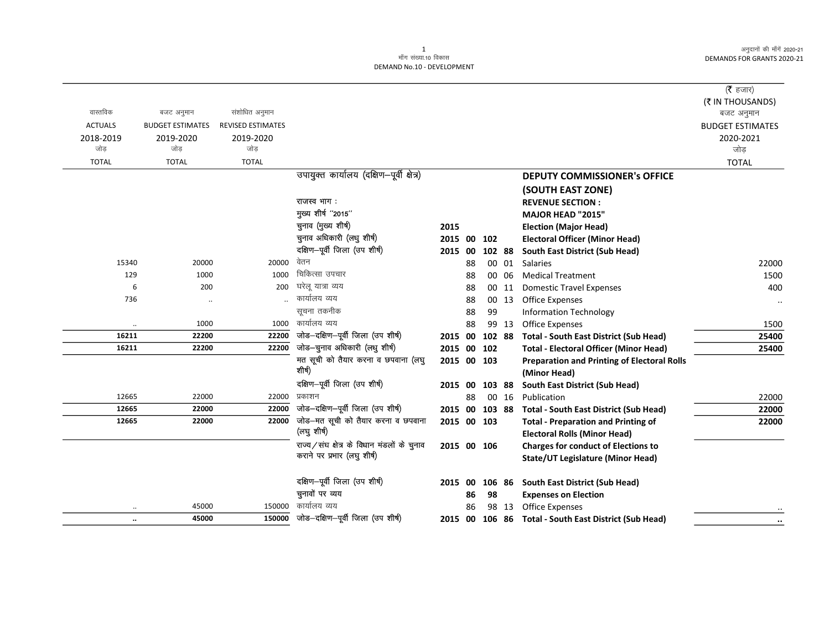अनुदानों की माँगें 2020-21 DEMANDS FOR GRANTS 2020-21

## DEMAND No.10 - DEVELOPMENT

|                |                         |                          |                                               |             |    |        |       |                                                                                   | ( $\bar{\tau}$ हजार)           |
|----------------|-------------------------|--------------------------|-----------------------------------------------|-------------|----|--------|-------|-----------------------------------------------------------------------------------|--------------------------------|
| वास्तविक       | बजट अनुमान              | संशोधित अनुमान           |                                               |             |    |        |       |                                                                                   | (₹ IN THOUSANDS)<br>बजट अनुमान |
| <b>ACTUALS</b> | <b>BUDGET ESTIMATES</b> | <b>REVISED ESTIMATES</b> |                                               |             |    |        |       |                                                                                   | <b>BUDGET ESTIMATES</b>        |
| 2018-2019      | 2019-2020               | 2019-2020                |                                               |             |    |        |       |                                                                                   | 2020-2021                      |
| जोड            | जोड                     | जोड                      |                                               |             |    |        |       |                                                                                   | जोड                            |
| <b>TOTAL</b>   | <b>TOTAL</b>            | <b>TOTAL</b>             |                                               |             |    |        |       |                                                                                   | <b>TOTAL</b>                   |
|                |                         |                          | उपायुक्त कार्यालय (दक्षिण-पूर्वी क्षेत्र)     |             |    |        |       | <b>DEPUTY COMMISSIONER's OFFICE</b>                                               |                                |
|                |                         |                          |                                               |             |    |        |       | (SOUTH EAST ZONE)                                                                 |                                |
|                |                         |                          | राजस्व भाग:                                   |             |    |        |       | <b>REVENUE SECTION:</b>                                                           |                                |
|                |                         |                          | मुख्य शीर्ष "2015"                            |             |    |        |       | MAJOR HEAD "2015"                                                                 |                                |
|                |                         |                          | चुनाव (मुख्य शीर्ष)                           | 2015        |    |        |       | <b>Election (Major Head)</b>                                                      |                                |
|                |                         |                          | चुनाव अधिकारी (लधु शीर्ष)                     | 2015 00     |    | 102    |       | <b>Electoral Officer (Minor Head)</b>                                             |                                |
|                |                         |                          | दक्षिण-पूर्वी जिला (उप शीर्ष)                 | 2015 00     |    | 102 88 |       | South East District (Sub Head)                                                    |                                |
| 15340          | 20000                   | 20000                    | वेतन                                          |             | 88 |        | 00 01 | Salaries                                                                          | 22000                          |
| 129            | 1000                    | 1000                     | चिकित्सा उपचार                                |             | 88 |        | 00 06 | <b>Medical Treatment</b>                                                          | 1500                           |
| 6              | 200                     | 200                      | घरेलू यात्रा व्यय                             |             | 88 |        | 00 11 | <b>Domestic Travel Expenses</b>                                                   | 400                            |
| 736            | $\cdot$ .               |                          | कार्यालय व्यय                                 |             | 88 |        | 00 13 | <b>Office Expenses</b>                                                            | $\cdot\cdot$                   |
|                |                         |                          | सूचना तकनीक                                   |             | 88 | 99     |       | <b>Information Technology</b>                                                     |                                |
|                | 1000                    | 1000                     | कार्यालय व्यय                                 |             | 88 |        | 99 13 | Office Expenses                                                                   | 1500                           |
| 16211          | 22200                   | 22200                    | जोड-दक्षिण-पूर्वी जिला (उप शीर्ष)             | 2015 00     |    | 102 88 |       | <b>Total - South East District (Sub Head)</b>                                     | 25400                          |
| 16211          | 22200                   | 22200                    | जोड—चुनाव अधिकारी (लधु शीर्ष)                 | 2015 00     |    | 102    |       | <b>Total - Electoral Officer (Minor Head)</b>                                     | 25400                          |
|                |                         |                          | मत सूची को तैयार करना व छपवाना (लघु<br>शीर्ष) | 2015 00 103 |    |        |       | <b>Preparation and Printing of Electoral Rolls</b>                                |                                |
|                |                         |                          |                                               |             |    |        |       | (Minor Head)                                                                      |                                |
|                |                         |                          | दक्षिण-पूर्वी जिला (उप शीर्ष)<br>प्रकाशन      | 2015 00     |    | 103 88 |       | South East District (Sub Head)                                                    |                                |
| 12665<br>12665 | 22000<br>22000          | 22000<br>22000           | जोड-दक्षिण-पूर्वी जिला (उप शीर्ष)             |             | 88 |        | 00 16 | Publication                                                                       | 22000                          |
| 12665          | 22000                   | 22000                    | जोड-मत सूची को तैयार करना व छपवाना            | 2015 00     |    | 103 88 |       | <b>Total - South East District (Sub Head)</b>                                     | 22000                          |
|                |                         |                          | (लघु शीर्ष)                                   | 2015 00 103 |    |        |       | <b>Total - Preparation and Printing of</b>                                        | 22000                          |
|                |                         |                          | राज्य/संघ क्षेत्र के विधान मंडलों के चुनाव    | 2015 00 106 |    |        |       | <b>Electoral Rolls (Minor Head)</b><br><b>Charges for conduct of Elections to</b> |                                |
|                |                         |                          | कराने पर प्रभार (लघु शीर्ष)                   |             |    |        |       | <b>State/UT Legislature (Minor Head)</b>                                          |                                |
|                |                         |                          |                                               |             |    |        |       |                                                                                   |                                |
|                |                         |                          | दक्षिण-पूर्वी जिला (उप शीर्ष)                 | 2015 00     |    | 106 86 |       | South East District (Sub Head)                                                    |                                |
|                |                         |                          | चुनावों पर व्यय                               |             | 86 | 98     |       | <b>Expenses on Election</b>                                                       |                                |
|                | 45000                   | 150000                   | कार्यालय व्यय                                 |             | 86 |        | 98 13 | Office Expenses                                                                   |                                |
| $\ldots$       | 45000                   | 150000                   | जोड—दक्षिण—पूर्वी जिला (उप शीर्ष)             | 2015 00     |    |        |       | 106 86 Total - South East District (Sub Head)                                     |                                |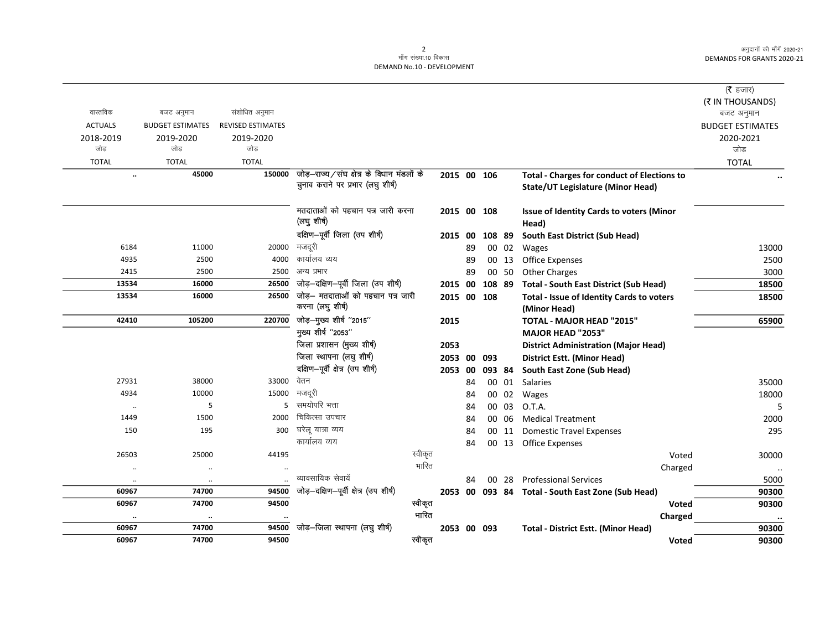अनुदानों की माँगें 2020-21 DEMANDS FOR GRANTS 2020-21

## 2<br>माँग संख्या.10 विकास DEMAND No.10 - DEVELOPMENT

|                |                         |                          |                                                 |         |             |      |             |       |                                                          | (रै हजार)               |  |
|----------------|-------------------------|--------------------------|-------------------------------------------------|---------|-------------|------|-------------|-------|----------------------------------------------------------|-------------------------|--|
|                |                         |                          |                                                 |         |             |      |             |       |                                                          | (₹ IN THOUSANDS)        |  |
| वास्तविक       | बजट अनुमान              | संशोधित अनुमान           |                                                 |         |             |      |             |       |                                                          | बजट अनुमान              |  |
| <b>ACTUALS</b> | <b>BUDGET ESTIMATES</b> | <b>REVISED ESTIMATES</b> |                                                 |         |             |      |             |       |                                                          | <b>BUDGET ESTIMATES</b> |  |
| 2018-2019      | 2019-2020               | 2019-2020                |                                                 |         |             |      |             |       |                                                          | 2020-2021               |  |
| जोड            | जोड                     | जोड                      |                                                 |         |             |      |             |       |                                                          | जोड                     |  |
| <b>TOTAL</b>   | <b>TOTAL</b>            | <b>TOTAL</b>             |                                                 |         |             |      |             |       |                                                          | <b>TOTAL</b>            |  |
| $\ddotsc$      | 45000                   | 150000                   | जोड़–राज्य/संघ क्षेत्र के विधान मंडलों के       |         | 2015 00 106 |      |             |       | <b>Total - Charges for conduct of Elections to</b>       |                         |  |
|                |                         |                          | चुनाव कराने पर प्रभार (लघु शीर्ष)               |         |             |      |             |       | <b>State/UT Legislature (Minor Head)</b>                 |                         |  |
|                |                         |                          | मतदाताओं को पहचान पत्र जारी करना<br>(लघु शीर्ष) |         | 2015 00 108 |      |             |       | <b>Issue of Identity Cards to voters (Minor</b><br>Head) |                         |  |
|                |                         |                          | दक्षिण-पूर्वी जिला (उप शीर्ष)                   |         | 2015        | - 00 | 108 89      |       | South East District (Sub Head)                           |                         |  |
| 6184           | 11000                   | 20000                    | मजदूरी                                          |         |             | 89   |             | 00 02 | Wages                                                    | 13000                   |  |
| 4935           | 2500                    | 4000                     | कार्यालय व्यय                                   |         |             | 89   |             | 00 13 | <b>Office Expenses</b>                                   | 2500                    |  |
| 2415           | 2500                    | 2500                     | अन्य प्रभार                                     |         |             | 89   |             | 00 50 | <b>Other Charges</b>                                     | 3000                    |  |
| 13534          | 16000                   | 26500                    | जोड़-दक्षिण-पूर्वी जिला (उप शीर्ष)              |         | 2015        | 00   | 108 89      |       | <b>Total - South East District (Sub Head)</b>            | 18500                   |  |
| 13534          | 16000                   | 26500                    | जोड़- मतदाताओं को पहचान पत्र जारी               |         | 2015 00 108 |      |             |       | Total - Issue of Identity Cards to voters                | 18500                   |  |
|                |                         |                          | करना (लघु शीर्ष)                                |         |             |      |             |       | (Minor Head)                                             |                         |  |
| 42410          | 105200                  | 220700                   | जोड़—मुख्य शीर्ष "2015"                         |         | 2015        |      |             |       | TOTAL - MAJOR HEAD "2015"                                | 65900                   |  |
|                |                         |                          | मुख्य शीर्ष "2053"                              |         |             |      |             |       | MAJOR HEAD "2053"                                        |                         |  |
|                |                         |                          | जिला प्रशासन (मुख्य शीर्ष)                      |         | 2053        |      |             |       | <b>District Administration (Major Head)</b>              |                         |  |
|                |                         |                          | जिला स्थापना (लघु शीर्ष)                        |         | 2053        | 00   | 093         |       | <b>District Estt. (Minor Head)</b>                       |                         |  |
|                |                         |                          | दक्षिण-पूर्वी क्षेत्र (उप शीर्ष)                |         | 2053 00     |      | 093 84      |       | South East Zone (Sub Head)                               |                         |  |
| 27931          | 38000                   | 33000                    | वेतन                                            |         |             | 84   |             | 00 01 | Salaries                                                 | 35000                   |  |
| 4934           | 10000                   | 15000                    | मजदूरी                                          |         |             | 84   |             | 00 02 | Wages                                                    | 18000                   |  |
| $\cdot\cdot$   | 5                       | 5                        | समयोपरि भत्ता                                   |         |             | 84   |             | 00 03 | O.T.A.                                                   | 5                       |  |
| 1449           | 1500                    | 2000                     | चिकित्सा उपचार                                  |         |             | 84   |             | 00 06 | <b>Medical Treatment</b>                                 | 2000                    |  |
| 150            | 195                     | 300                      | घरेलू यात्रा व्यय                               |         |             | 84   |             |       | 00 11 Domestic Travel Expenses                           | 295                     |  |
|                |                         |                          | कार्यालय व्यय                                   |         |             | 84   |             |       | 00 13 Office Expenses                                    |                         |  |
| 26503          | 25000                   | 44195                    |                                                 | स्वीकृत |             |      |             |       | Voted                                                    | 30000                   |  |
|                | $\ldots$                |                          |                                                 | भारित   |             |      |             |       | Charged                                                  | $\ddot{\phantom{a}}$    |  |
| $\cdot\cdot$   | $\ddotsc$               | $\ddotsc$                | व्यावसायिक सेवायें                              |         |             | 84   |             | 00 28 | <b>Professional Services</b>                             | 5000                    |  |
| 60967          | 74700                   | 94500                    | जोड़-दक्षिण-पूर्वी क्षेत्र (उप शीर्ष)           |         |             |      |             |       | 2053 00 093 84 Total - South East Zone (Sub Head)        | 90300                   |  |
| 60967          | 74700                   | 94500                    |                                                 | स्वीकृत |             |      |             |       | Voted                                                    | 90300                   |  |
| $\cdot\cdot$   | $\cdots$                |                          |                                                 | भारित   |             |      |             |       | Charged                                                  | $\cdot\cdot$            |  |
| 60967          | 74700                   | 94500                    | जोड़-जिला स्थापना (लघु शीर्ष)                   |         |             |      | 2053 00 093 |       | <b>Total - District Estt. (Minor Head)</b>               | 90300                   |  |
| 60967          | 74700                   | 94500                    |                                                 | स्वीकृत |             |      |             |       | <b>Voted</b>                                             | 90300                   |  |